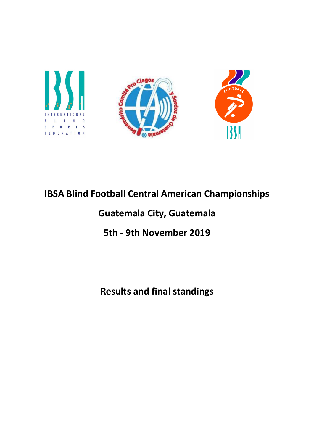

# IBSA Blind Football Central American Championships

## Guatemala City, Guatemala

## 5th - 9th November 2019

## Results and final standings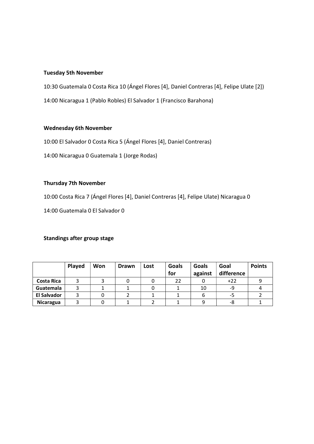#### Tuesday 5th November

10:30 Guatemala 0 Costa Rica 10 (Ángel Flores [4], Daniel Contreras [4], Felipe Ulate [2])

14:00 Nicaragua 1 (Pablo Robles) El Salvador 1 (Francisco Barahona)

#### Wednesday 6th November

10:00 El Salvador 0 Costa Rica 5 (Ángel Flores [4], Daniel Contreras)

14:00 Nicaragua 0 Guatemala 1 (Jorge Rodas)

### Thursday 7th November

10:00 Costa Rica 7 (Ángel Flores [4], Daniel Contreras [4], Felipe Ulate) Nicaragua 0

14:00 Guatemala 0 El Salvador 0

#### Standings after group stage

|                    | Played | Won | Drawn | Lost | Goals<br>for | Goals<br>against | Goal<br>difference | <b>Points</b> |
|--------------------|--------|-----|-------|------|--------------|------------------|--------------------|---------------|
| Costa Rica         |        |     |       |      | 22           |                  | $+22$              |               |
| Guatemala          |        |     |       |      |              | 10               | -9                 |               |
| <b>El Salvador</b> |        |     |       |      |              |                  | -5                 |               |
| Nicaragua          |        |     |       |      |              |                  | -8                 |               |